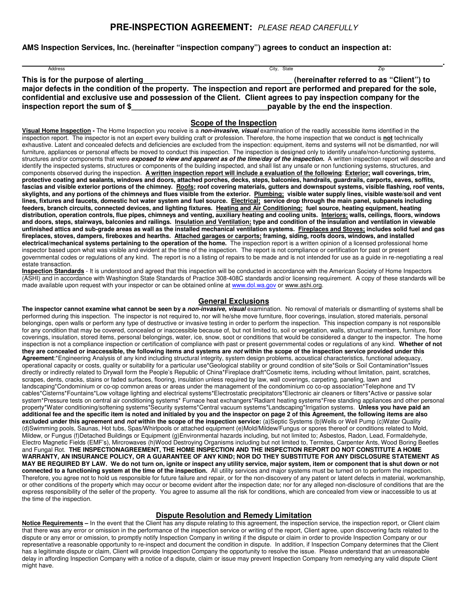# **PRE-INSPECTION AGREEMENT:** PLEASE READ CAREFULLY

**AMS Inspection Services, Inc. (hereinafter "inspection company") agrees to conduct an inspection at:** 

| Address                                                                                                            | City, State                              | <b>ZID</b> |  |
|--------------------------------------------------------------------------------------------------------------------|------------------------------------------|------------|--|
| This is for the purpose of alerting                                                                                | (hereinafter referred to as "Client") to |            |  |
| major defects in the condition of the property. The inspection and report are performed and prepared for the sole, |                                          |            |  |
| confidential and exclusive use and possession of the Client. Client agrees to pay inspection company for the       |                                          |            |  |
| inspection report the sum of \$                                                                                    | payable by the end the inspection.       |            |  |

### **Scope of the Inspection**

**Visual Home Inspection -** The Home Inspection you receive is a **non-invasive, visual** examination of the readily accessible items identified in the inspection report. The inspector is not an expert every building craft or profession. Therefore, the home inspection that we conduct is **not** technically exhaustive. Latent and concealed defects and deficiencies are excluded from the inspection: equipment, items and systems will not be dismantled, nor will furniture, appliances or personal effects be moved to conduct this inspection. The inspection is designed only to identify unsafe/non-functioning systems, structures and/or components that were **exposed to view and apparent as of the time/day of the inspection.** A written inspection report will describe and identify the inspected systems, structures or components of the building inspected, and shall list any unsafe or non functioning systems, structures, and components observed during the inspection. **A written inspection report will include a evaluation of the following**: **Exterior; wall coverings, trim, protective coating and sealants, windows and doors, attached porches, decks, steps, balconies, handrails, guardrails, carports, eaves, soffits,**  fascias and visible exterior portions of the chimney. Roofs; roof covering materials, gutters and downspout systems, visible flashing, roof vents, **skylights, and any portions of the chimneys and flues visible from the exterior. Plumbing; visible water supply lines, visible waste/soil and vent lines, fixtures and faucets, domestic hot water system and fuel source. Electrical; service drop through the main panel, subpanels including feeders, branch circuits, connected devices, and lighting fixtures. Heating and Air Conditioning; fuel source, heating equipment, heating distribution, operation controls, flue pipes, chimneys and venting, auxiliary heating and cooling units. Interiors; walls, ceilings, floors, windows and doors, steps, stairways, balconies and railings. Insulation and Ventilation; type and condition of the insulation and ventilation in viewable unfinished attics and sub-grade areas as wall as the installed mechanical ventilation systems. Fireplaces and Stoves; includes solid fuel and gas fireplaces, stoves, dampers, fireboxes and hearths. Attached garages or carports; framing, siding, roofs doors, windows, and installed electrical/mechanical systems pertaining to the operation of the home.** The inspection report is a written opinion of a licensed professional home inspector based upon what was visible and evident at the time of the inspection. The report is not compliance or certification for past or present governmental codes or regulations of any kind. The report is no a listing of repairs to be made and is not intended for use as a guide in re-negotiating a real estate transaction.

**Inspection Standards** - It is understood and agreed that this inspection will be conducted in accordance with the American Society of Home Inspectors (ASHI) and in accordance with Washington State Standards of Practice 308-408C standards and/or licensing requirement. A copy of these standards will be made available upon request with your inspector or can be obtained online at www.dol.wa.gov or www.ashi.org.

#### **General Exclusions**

**The inspector cannot examine what cannot be seen by a non-invasive, visual** examination. No removal of materials or dismantling of systems shall be performed during this inspection. The inspector is not required to, nor will he/she move furniture, floor coverings, insulation, stored materials, personal belongings, open walls or perform any type of destructive or invasive testing in order to perform the inspection. This inspection company is not responsible for any condition that may be covered, concealed or inaccessible because of, but not limited to, soil or vegetation, walls, structural members, furniture, floor coverings, insulation, stored items, personal belongings, water, ice, snow, soot or conditions that would be considered a danger to the inspector. The home inspection is not a compliance inspection or certification of compliance with past or present governmental codes or regulations of any kind. **Whether of not they are concealed or inaccessible, the following items and systems are not within the scope of the inspection service provided under this Agreement**:\*Engineering Analysis of any kind including structural integrity, system design problems, acoustical characteristics, functional adequacy, operational capacity or costs, quality or suitability for a particular use\*Geological stability or ground condition of site\*Soils or Soil Contamination\*Issues directly or indirectly related to Drywall form the People's Republic of China\*Fireplace draft\*Cosmetic items, including without limitation, paint, scratches, scrapes, dents, cracks, stains or faded surfaces, flooring, insulation unless required by law, wall coverings, carpeting, paneling, lawn and landscaping\*Condominium or co-op common areas or areas under the management of the condominium co co-op association\*Telephone and TV cables\*Cisterns\*Fountains\*Low voltage lighting and electrical systems\*Electrostatic precipitators\*Electronic air cleaners or filters\*Active or passive solar system\*Pressure tests on central air conditioning systems\* Furnace heat exchangers\*Radiant heating systems\*Free standing appliances and other personal property\*Water conditioning/softening systems\*Security systems\*Central vacuum systems\*Landscaping\*Irrigation systems. **Unless you have paid an additional fee and the specific item is noted and initialed by you and the inspector on page 2 of this Agreement, the following items are also excluded under this agreement and not within the scope of the inspection service:** (a)Septic Systems (b)Wells or Well Pump (c)Water Quality (d)Swimming pools, Saunas, Hot tubs, Spas/Whirlpools or attached equipment (e)Mold/Mildew/Fungus or spores thereof or conditions related to Mold, Mildew, or Fungus (f)Detached Buildings or Equipment (g)Environmental hazards including, but not limited to; Asbestos, Radon, Lead, Formaldehyde, Electro Magnetic Fields (EMF's), Mircrowaves (h)Wood Destroying Organisms including but not limited to, Termites, Carpenter Ants, Wood Boring Beetles and Fungal Rot. **THE INSPECTIONAGREEMENT, THE HOME INSPECTION AND THE INSPECTION REPORT DO NOT CONSTITUTE A HOME WARRANTY, AN INSURANCE POLICY, OR A GUARANTEE OF ANY KIND; NOR DO THEY SUBSTITUTE FOR ANY DISCLOSURE STATEMENT AS MAY BE REQUIRED BY LAW. We do not turn on, ignite or inspect any utility service, major system, item or component that is shut down or not connected to a functioning system at the time of the inspection.** All utility services and major systems must be turned on to perform the inspection. Therefore, you agree not to hold us responsible for future failure and repair, or for the non-discovery of any patent or latent defects in material, workmanship, or other conditions of the property which may occur or become evident after the inspection date; nor for any alleged non-disclosure of conditions that are the express responsibility of the seller of the property. You agree to assume all the risk for conditions, which are concealed from view or inaccessible to us at the time of the inspection.

#### **Dispute Resolution and Remedy Limitation**

**Notice Requirements –** In the event that the Client has any dispute relating to this agreement, the inspection service, the inspection report, or Client claim that there was any error or omission in the performance of the inspection service or writing of the report, Client agree, upon discovering facts related to the dispute or any error or omission, to promptly notify Inspection Company in writing if the dispute or claim in order to provide Inspection Company or our representative a reasonable opportunity to re-inspect and document the condition in dispute. In addition, if Inspection Company determines that the Client has a legitimate dispute or claim, Client will provide Inspection Company the opportunity to resolve the issue. Please understand that an unreasonable delay in affording Inspection Company with a notice of a dispute, claim or issue may prevent Inspection Company from remedying any valid dispute Client might have.